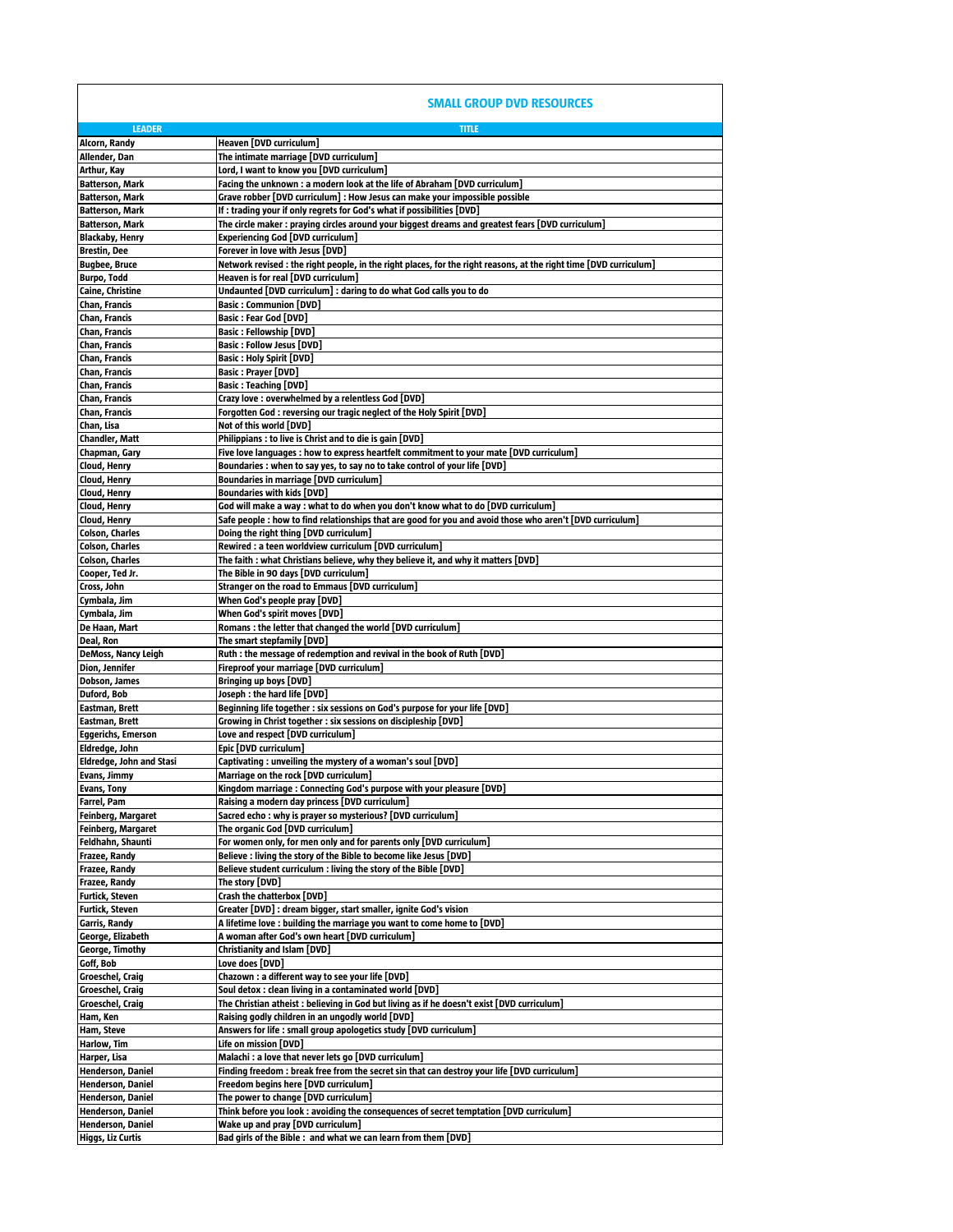**SMALL GROUP DVD RESOURCES**

| <b>LEADER</b>                                        | <b>TITLE</b>                                                                                                                |
|------------------------------------------------------|-----------------------------------------------------------------------------------------------------------------------------|
| Alcorn, Randy                                        | Heaven [DVD curriculum]<br>The intimate marriage [DVD curriculum]                                                           |
| Allender, Dan<br>Arthur, Kay                         | Lord, I want to know you [DVD curriculum]                                                                                   |
| <b>Batterson, Mark</b>                               | Facing the unknown : a modern look at the life of Abraham [DVD curriculum]                                                  |
| <b>Batterson, Mark</b>                               | Grave robber [DVD curriculum] : How Jesus can make your impossible possible                                                 |
| <b>Batterson, Mark</b>                               | If : trading your if only regrets for God's what if possibilities [DVD]                                                     |
| <b>Batterson, Mark</b>                               | The circle maker : praying circles around your biggest dreams and greatest fears [DVD curriculum]                           |
| <b>Blackaby, Henry</b>                               | <b>Experiencing God [DVD curriculum]</b>                                                                                    |
| Brestin, Dee                                         | Forever in love with Jesus [DVD]                                                                                            |
| <b>Bugbee, Bruce</b>                                 | Network revised : the right people, in the right places, for the right reasons, at the right time [DVD curriculum]          |
| Burpo, Todd                                          | Heaven is for real [DVD curriculum]                                                                                         |
| Caine, Christine                                     | Undaunted [DVD curriculum] : daring to do what God calls you to do                                                          |
| Chan, Francis                                        | Basic: Communion [DVD]                                                                                                      |
| Chan, Francis                                        | Basic : Fear God [DVD]                                                                                                      |
| Chan, Francis                                        | <b>Basic: Fellowship [DVD]</b>                                                                                              |
| Chan, Francis                                        | Basic: Follow Jesus [DVD]                                                                                                   |
| Chan, Francis<br>Chan, Francis                       | Basic : Holy Spirit [DVD]<br>Basic : Prayer [DVD]                                                                           |
| Chan, Francis                                        | Basic : Teaching [DVD]                                                                                                      |
| Chan, Francis                                        | Crazy love : overwhelmed by a relentless God [DVD]                                                                          |
| Chan, Francis                                        | Forgotten God : reversing our tragic neglect of the Holy Spirit [DVD]                                                       |
| Chan, Lisa                                           | Not of this world (DVD)                                                                                                     |
| <b>Chandler, Matt</b>                                | Philippians: to live is Christ and to die is gain [DVD]                                                                     |
| Chapman, Gary                                        | Five love languages : how to express heartfelt commitment to your mate [DVD curriculum]                                     |
| Cloud, Henry                                         | Boundaries : when to say yes, to say no to take control of your life [DVD]                                                  |
| Cloud, Henry                                         | Boundaries in marriage [DVD curriculum]                                                                                     |
| Cloud, Henry                                         | <b>Boundaries with kids [DVD]</b>                                                                                           |
| Cloud, Henry                                         | God will make a way : what to do when you don't know what to do [DVD curriculum]                                            |
| Cloud, Henry                                         | [DVD curriculum] Safe popular that in that are state word and avoid those who aren't (DVD curriculum                        |
| <b>Colson, Charles</b><br><b>Colson, Charles</b>     | Doing the right thing [DVD curriculum]<br>Rewired : a teen worldview curriculum [DVD curriculum]                            |
| Colson, Charles                                      | The faith : what Christians believe, why they believe it, and why it matters [DVD]                                          |
| Cooper, Ted Jr.                                      | The Bible in 90 days [DVD curriculum]                                                                                       |
| Cross, John                                          | Stranger on the road to Emmaus [DVD curriculum]                                                                             |
| Cymbala, Jim                                         | When God's people pray [DVD]                                                                                                |
| Cymbala, Jim                                         | When God's spirit moves [DVD]                                                                                               |
| De Haan, Mart                                        | Romans: the letter that changed the world [DVD curriculum]                                                                  |
| Deal, Ron                                            | The smart stepfamily [DVD]                                                                                                  |
| DeMoss, Nancy Leigh                                  | Ruth: the message of redemption and revival in the book of Ruth [DVD]                                                       |
| Dion, Jennifer                                       | Fireproof your marriage [DVD curriculum]                                                                                    |
| Dobson, James                                        | Bringing up boys [DVD]                                                                                                      |
| Duford, Bob                                          | Joseph : the hard life [DVD]                                                                                                |
| Eastman, Brett                                       | Beginning life together : six sessions on God's purpose for your life [DVD]                                                 |
| Eastman, Brett<br><b>Eggerichs, Emerson</b>          | Growing in Christ together : six sessions on discipleship [DVD]<br>Love and respect [DVD curriculum]                        |
| Eldredge, John                                       | Epic [DVD curriculum]                                                                                                       |
| Eldredge, John and Stasi                             | Captivating: unveiling the mystery of a woman's soul [DVD]                                                                  |
| Evans, Jimmy                                         | Marriage on the rock [DVD curriculum]                                                                                       |
| <b>Evans, Tony</b>                                   | Kingdom marriage: Connecting God's purpose with your pleasure [DVD]                                                         |
| <b>Farrel, Pam</b>                                   | Raising a modern day princess [DVD curriculum]                                                                              |
| Feinberg, Margaret                                   | Sacred echo : why is prayer so mysterious? [DVD curriculum]                                                                 |
| Feinberg, Margaret                                   | The organic God [DVD curriculum]                                                                                            |
| Feldhahn, Shaunti                                    | For women only, for men only and for parents only [DVD curriculum]                                                          |
| Frazee, Randy                                        | Believe : living the story of the Bible to become like Jesus [DVD]                                                          |
| Frazee, Randy                                        | Believe student curriculum : living the story of the Bible [DVD]                                                            |
| Frazee, Randy<br><b>Furtick, Steven</b>              | The story [DVD]<br>Crash the chatterbox [DVD]                                                                               |
| Furtick, Steven                                      | Greater [DVD] : dream bigger, start smaller, ignite God's vision                                                            |
| Garris, Randy                                        | A lifetime love : building the marriage you want to come home to [DVD]                                                      |
| George, Elizabeth                                    | A woman after God's own heart [DVD curriculum]                                                                              |
| George, Timothy                                      | Christianity and Islam [DVD]                                                                                                |
| Goff, Bob                                            | Love does [DVD]                                                                                                             |
| Groeschel, Craig                                     | Chazown : a different way to see your life [DVD]                                                                            |
| Groeschel, Craig                                     | Soul detox : clean living in a contaminated world [DVD]                                                                     |
|                                                      | The Christian atheist: believing in God but living as if he doesn't exist [DVD curriculum]                                  |
| Groeschel, Craig                                     |                                                                                                                             |
| Ham, Ken                                             | Raising godly children in an ungodly world [DVD]                                                                            |
| Ham, Steve                                           | Answers for life : small group apologetics study [DVD curriculum]                                                           |
| Harlow, Tim                                          | Life on mission [DVD]                                                                                                       |
| Harper, Lisa                                         | Malachi : a love that never lets go [DVD curriculum]                                                                        |
| <b>Henderson, Daniel</b>                             | Finding freedom : break free from the secret sin that can destroy your life [DVD curriculum]                                |
| Henderson, Daniel                                    | Freedom begins here [DVD curriculum]                                                                                        |
| <b>Henderson, Daniel</b>                             | The power to change [DVD curriculum]                                                                                        |
| <b>Henderson, Daniel</b><br><b>Henderson, Daniel</b> | Think before you look: avoiding the consequences of secret temptation [DVD curriculum]<br>Wake up and pray [DVD curriculum] |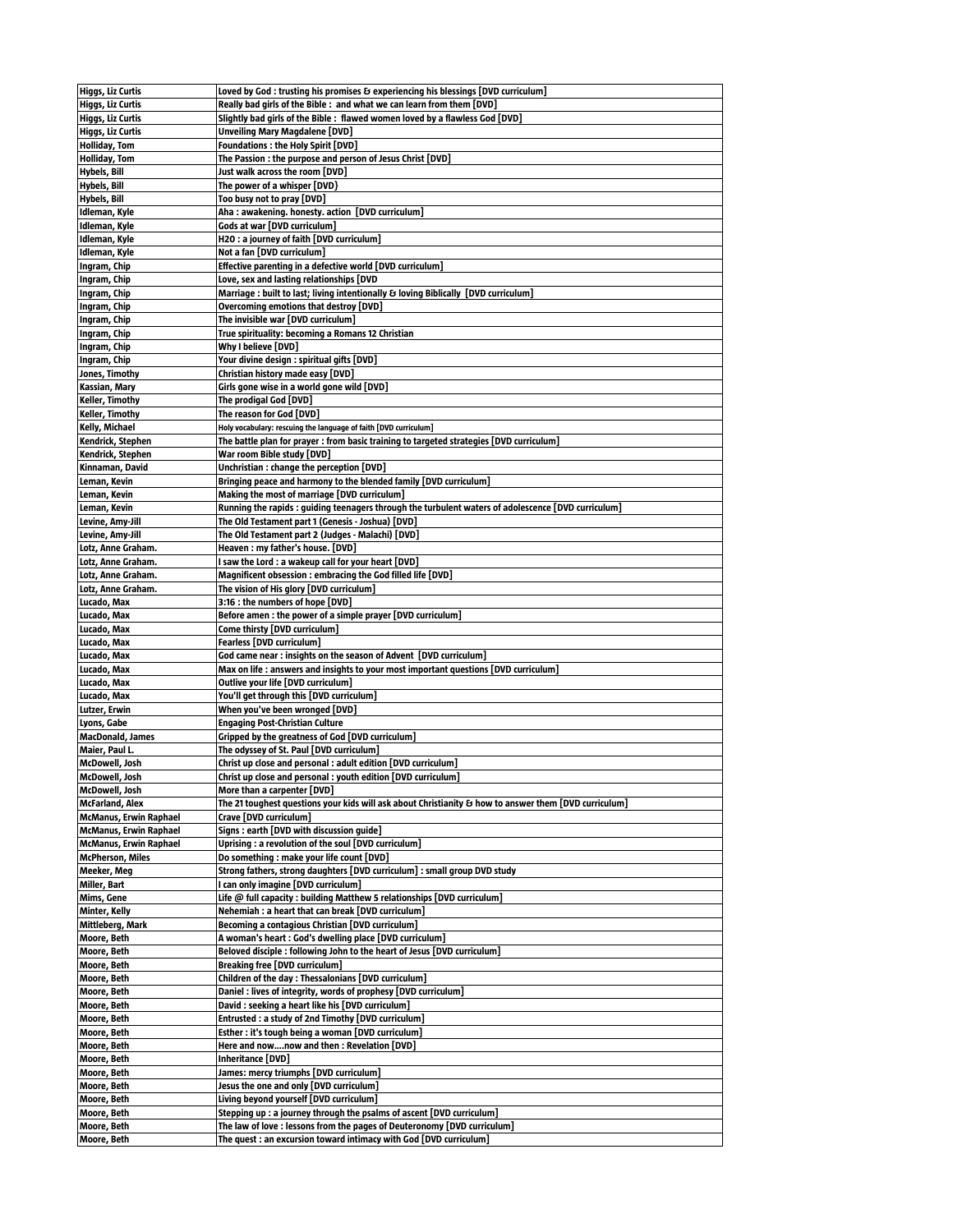| Higgs, Liz Curtis             | Loved by God : trusting his promises & experiencing his blessings [DVD curriculum]                                                           |
|-------------------------------|----------------------------------------------------------------------------------------------------------------------------------------------|
|                               |                                                                                                                                              |
| Higgs, Liz Curtis             | Really bad girls of the Bible: and what we can learn from them [DVD]                                                                         |
| Higgs, Liz Curtis             | Slightly bad girls of the Bible : flawed women loved by a flawless God [DVD]                                                                 |
| Higgs, Liz Curtis             | Unveiling Mary Magdalene [DVD]                                                                                                               |
| <b>Holliday, Tom</b>          | <b>Foundations : the Holy Spirit [DVD]</b>                                                                                                   |
| <b>Holliday, Tom</b>          | The Passion : the purpose and person of Jesus Christ [DVD]                                                                                   |
|                               |                                                                                                                                              |
| Hybels, Bill                  | Just walk across the room [DVD]                                                                                                              |
| Hybels, Bill                  | The power of a whisper [DVD}                                                                                                                 |
| Hybels, Bill                  | Too busy not to pray [DVD]                                                                                                                   |
| Idleman, Kyle                 | Aha : awakening. honesty. action [DVD curriculum]                                                                                            |
| Idleman, Kyle                 | Gods at war [DVD curriculum]                                                                                                                 |
| Idleman, Kyle                 | H2O: a journey of faith [DVD curriculum]                                                                                                     |
| Idleman, Kyle                 |                                                                                                                                              |
|                               | Not a fan [DVD curriculum]                                                                                                                   |
| Ingram, Chip                  | Effective parenting in a defective world [DVD curriculum]                                                                                    |
| Ingram, Chip                  | Love, sex and lasting relationships [DVD                                                                                                     |
| Ingram, Chip                  | Marriage : built to last; living intentionally & loving Biblically [DVD curriculum]                                                          |
| Ingram, Chip                  | Overcoming emotions that destroy [DVD]                                                                                                       |
| Ingram, Chip                  | The invisible war [DVD curriculum]                                                                                                           |
| Ingram, Chip                  | True spirituality: becoming a Romans 12 Christian                                                                                            |
| Ingram, Chip                  | Why I believe [DVD]                                                                                                                          |
|                               |                                                                                                                                              |
| Ingram, Chip                  | Your divine design : spiritual gifts [DVD]                                                                                                   |
| Jones, Timothy                | Christian history made easy [DVD]                                                                                                            |
| Kassian, Mary                 | Girls gone wise in a world gone wild [DVD]                                                                                                   |
| Keller, Timothy               | The prodigal God [DVD]                                                                                                                       |
| <b>Keller, Timothy</b>        | The reason for God [DVD]                                                                                                                     |
| Kelly, Michael                | Holy vocabulary: rescuing the language of faith [DVD curriculum]                                                                             |
| Kendrick, Stephen             | The battle plan for prayer : from basic training to targeted strategies [DVD curriculum]                                                     |
| Kendrick, Stephen             | War room Bible study [DVD]                                                                                                                   |
|                               |                                                                                                                                              |
| Kinnaman, David               | Unchristian: change the perception [DVD]                                                                                                     |
| Leman, Kevin                  | Bringing peace and harmony to the blended family [DVD curriculum]                                                                            |
| Leman, Kevin                  | Making the most of marriage [DVD curriculum]                                                                                                 |
| Leman, Kevin                  | Running the rapids : guiding teenagers through the turbulent waters of adolescence [DVD curriculum]                                          |
| Levine, Amy-Jill              | The Old Testament part 1 (Genesis - Joshua) [DVD]                                                                                            |
| Levine, Amy Jill              | The Old Testament part 2 (Judges - Malachi) [DVD]                                                                                            |
| Lotz, Anne Graham.            | Heaven : my father's house. [DVD]                                                                                                            |
| Lotz, Anne Graham.            | I saw the Lord : a wakeup call for your heart [DVD]                                                                                          |
|                               |                                                                                                                                              |
| Lotz, Anne Graham.            | Magnificent obsession: embracing the God filled life [DVD]                                                                                   |
| Lotz, Anne Graham.            | The vision of His glory [DVD curriculum]                                                                                                     |
| Lucado, Max                   | 3:16 : the numbers of hope [DVD]                                                                                                             |
| Lucado, Max                   | Before amen : the power of a simple prayer [DVD curriculum]                                                                                  |
| Lucado, Max                   | Come thirsty [DVD curriculum]                                                                                                                |
| Lucado, Max                   | <b>Fearless [DVD curriculum]</b>                                                                                                             |
| Lucado, Max                   | God came near : insights on the season of Advent [DVD curriculum]                                                                            |
|                               |                                                                                                                                              |
| Lucado, Max                   | Max on life : answers and insights to your most important questions [DVD curriculum]                                                         |
| Lucado, Max                   | Outlive your life [DVD curriculum]                                                                                                           |
| Lucado, Max                   | You'll get through this [DVD curriculum]                                                                                                     |
| Lutzer, Erwin                 | When you've been wronged [DVD]                                                                                                               |
| Lyons, Gabe                   | <b>Engaging Post-Christian Culture</b>                                                                                                       |
| <b>MacDonald, James</b>       | Gripped by the greatness of God [DVD curriculum]                                                                                             |
| Maier, Paul L.                | The odyssey of St. Paul [DVD curriculum]                                                                                                     |
|                               |                                                                                                                                              |
| McDowell, Josh                | Christ up close and personal : adult edition [DVD curriculum]                                                                                |
| McDowell, Josh                | Christ up close and personal : youth edition [DVD curriculum]                                                                                |
| McDowell, Josh                | More than a carpenter [DVD]                                                                                                                  |
| <b>McFarland, Alex</b>        | The 21 toughest questions your kids will ask about Christianity & how to answer them [DVD curriculum]                                        |
| <b>McManus, Erwin Raphael</b> | Crave [DVD curriculum]                                                                                                                       |
| <b>McManus, Erwin Raphael</b> | Signs: earth [DVD with discussion guide]                                                                                                     |
| <b>McManus, Erwin Raphael</b> | Uprising: a revolution of the soul [DVD curriculum]                                                                                          |
| <b>McPherson, Miles</b>       | Do something : make your life count [DVD]                                                                                                    |
| Meeker, Meg                   | Strong fathers, strong daughters [DVD curriculum] : small group DVD study                                                                    |
| Miller, Bart                  | I can only imagine [DVD curriculum]                                                                                                          |
|                               | Life $@$ full capacity : building Matthew 5 relationships [DVD curriculum]                                                                   |
| Mims, Gene                    |                                                                                                                                              |
| <b>Minter, Kelly</b>          |                                                                                                                                              |
|                               | Nehemiah : a heart that can break [DVD curriculum]                                                                                           |
| Mittleberg, Mark              | Becoming a contagious Christian [DVD curriculum]                                                                                             |
| Moore, Beth                   | A woman's heart : God's dwelling place [DVD curriculum]                                                                                      |
| Moore, Beth                   | Beloved disciple : following John to the heart of Jesus [DVD curriculum]                                                                     |
| Moore, Beth                   | <b>Breaking free [DVD curriculum]</b>                                                                                                        |
| Moore, Beth                   | Children of the day: Thessalonians [DVD curriculum]                                                                                          |
|                               |                                                                                                                                              |
| Moore, Beth                   | Daniel: lives of integrity, words of prophesy [DVD curriculum]                                                                               |
| Moore, Beth                   | David : seeking a heart like his [DVD curriculum]                                                                                            |
| Moore, Beth                   | Entrusted: a study of 2nd Timothy [DVD curriculum]                                                                                           |
| Moore, Beth                   | Esther: it's tough being a woman [DVD curriculum]                                                                                            |
| Moore, Beth                   | Here and nownow and then: Revelation [DVD]                                                                                                   |
| Moore, Beth                   | <b>Inheritance [DVD]</b>                                                                                                                     |
| Moore, Beth                   | James: mercy triumphs [DVD curriculum]                                                                                                       |
| Moore, Beth                   | Jesus the one and only [DVD curriculum]                                                                                                      |
| Moore, Beth                   | Living beyond yourself [DVD curriculum]                                                                                                      |
|                               |                                                                                                                                              |
| Moore, Beth                   | Stepping up : a journey through the psalms of ascent [DVD curriculum]                                                                        |
| Moore, Beth<br>Moore, Beth    | The law of love: lessons from the pages of Deuteronomy [DVD curriculum]<br>The quest: an excursion toward intimacy with God [DVD curriculum] |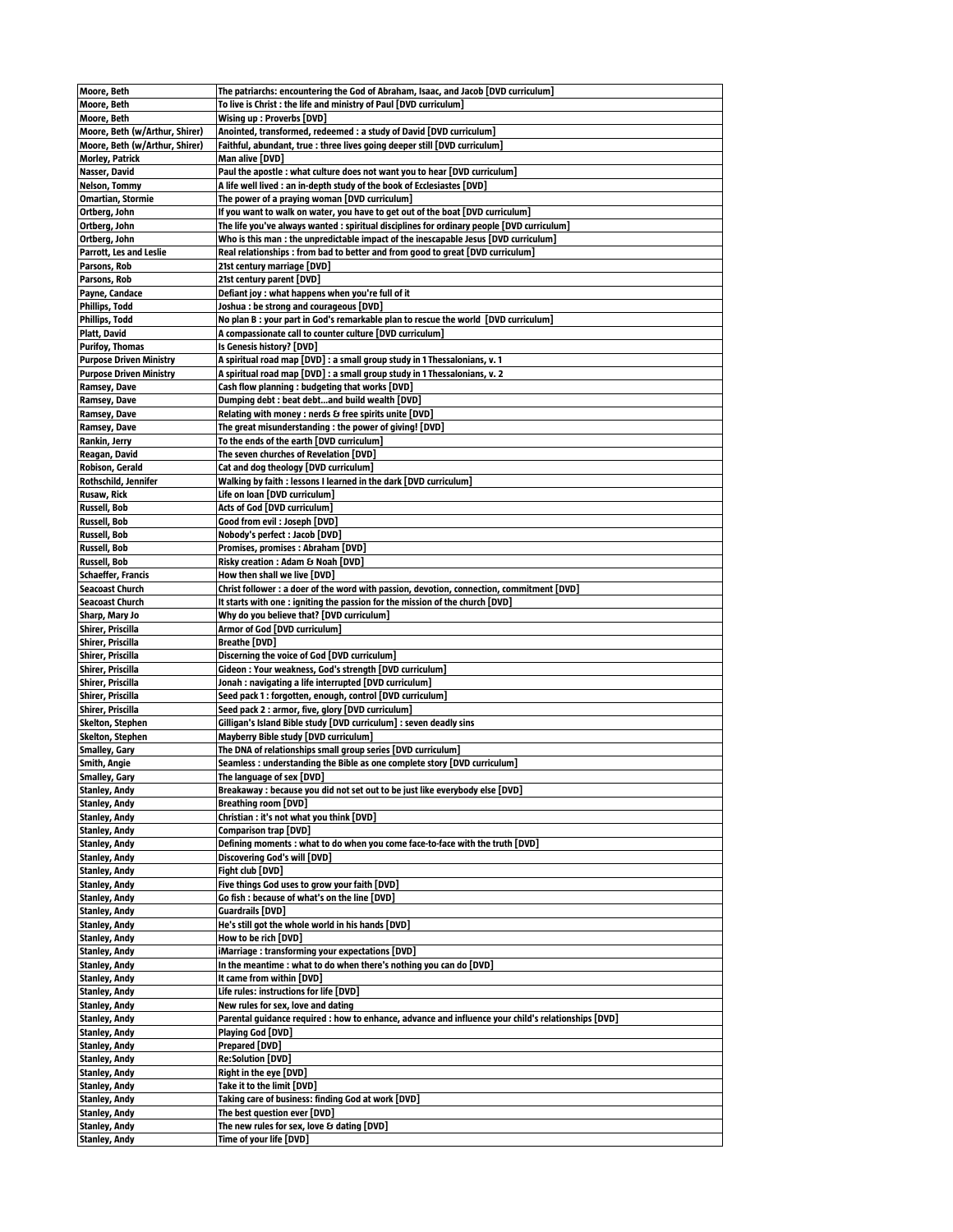| Moore, Beth                                  | The patriarchs: encountering the God of Abraham, Isaac, and Jacob [DVD curriculum]                  |
|----------------------------------------------|-----------------------------------------------------------------------------------------------------|
| Moore, Beth                                  | To live is Christ : the life and ministry of Paul [DVD curriculum]                                  |
| Moore, Beth                                  | Wising up : Proverbs [DVD]                                                                          |
| Moore, Beth (w/Arthur, Shirer)               | Anointed, transformed, redeemed : a study of David [DVD curriculum]                                 |
| Moore, Beth (w/Arthur, Shirer)               | Faithful, abundant, true : three lives going deeper still [DVD curriculum]                          |
| <b>Morley, Patrick</b>                       | Man alive [DVD]                                                                                     |
| Nasser, David                                | Paul the apostle: what culture does not want you to hear [DVD curriculum]                           |
| Nelson, Tommy                                | A life well lived : an in-depth study of the book of Ecclesiastes [DVD]                             |
| <b>Omartian, Stormie</b>                     | The power of a praying woman [DVD curriculum]                                                       |
| Ortberg, John                                | If you want to walk on water, you have to get out of the boat [DVD curriculum]                      |
| Ortberg, John                                | The life you've always wanted : spiritual disciplines for ordinary people [DVD curriculum]          |
| Ortberg, John                                | Who is this man : the unpredictable impact of the inescapable Jesus [DVD curriculum]                |
| Parrott, Les and Leslie                      | Real relationships: from bad to better and from good to great [DVD curriculum]                      |
| Parsons, Rob                                 | 21st century marriage [DVD]                                                                         |
| Parsons, Rob                                 | 21st century parent [DVD]                                                                           |
| Payne, Candace                               | Defiant joy: what happens when you're full of it                                                    |
| <b>Phillips, Todd</b>                        | Joshua : be strong and courageous [DVD]                                                             |
| <b>Phillips, Todd</b>                        | No plan B : your part in God's remarkable plan to rescue the world [DVD curriculum]                 |
| Platt, David                                 | A compassionate call to counter culture [DVD curriculum]                                            |
| <b>Purifoy, Thomas</b>                       | Is Genesis history? [DVD]                                                                           |
| <b>Purpose Driven Ministry</b>               | A spiritual road map [DVD] : a small group study in 1 Thessalonians, v. 1                           |
| <b>Purpose Driven Ministry</b>               | A spiritual road map [DVD] : a small group study in 1 Thessalonians, v. 2                           |
| Ramsey, Dave                                 | Cash flow planning: budgeting that works [DVD]                                                      |
| Ramsey, Dave                                 | Dumping debt: beat debtand build wealth [DVD]                                                       |
| Ramsey, Dave                                 | Relating with money : nerds & free spirits unite [DVD]                                              |
| Ramsey, Dave                                 | The great misunderstanding : the power of giving! [DVD]                                             |
| Rankin, Jerry                                | To the ends of the earth [DVD curriculum]                                                           |
| Reagan, David                                | The seven churches of Revelation [DVD]                                                              |
| Robison, Gerald                              | Cat and dog theology [DVD curriculum]                                                               |
| Rothschild, Jennifer                         | Walking by faith : lessons I learned in the dark [DVD curriculum]                                   |
| Rusaw, Rick                                  | Life on loan [DVD curriculum]                                                                       |
| Russell, Bob                                 | Acts of God [DVD curriculum]                                                                        |
| Russell, Bob                                 | Good from evil: Joseph [DVD]                                                                        |
| Russell, Bob                                 | Nobody's perfect : Jacob [DVD]                                                                      |
| Russell, Bob                                 | Promises, promises : Abraham [DVD]                                                                  |
| Russell, Bob                                 | Risky creation : Adam & Noah [DVD]                                                                  |
| <b>Schaeffer, Francis</b>                    | How then shall we live [DVD]                                                                        |
| <b>Seacoast Church</b>                       | Christ follower : a doer of the word with passion, devotion, connection, commitment [DVD]           |
| <b>Seacoast Church</b>                       | It starts with one : igniting the passion for the mission of the church [DVD]                       |
| Sharp, Mary Jo                               | Why do you believe that? [DVD curriculum]                                                           |
| Shirer, Priscilla                            | Armor of God [DVD curriculum]                                                                       |
| Shirer, Priscilla                            | Breathe [DVD]                                                                                       |
| Shirer, Priscilla                            | Discerning the voice of God [DVD curriculum]                                                        |
| Shirer, Priscilla                            | Gideon : Your weakness, God's strength [DVD curriculum]                                             |
| Shirer, Priscilla                            | Jonah : navigating a life interrupted [DVD curriculum]                                              |
| Shirer, Priscilla                            | Seed pack 1 : forgotten, enough, control [DVD curriculum]                                           |
| Shirer, Priscilla                            | Seed pack 2 : armor, five, glory [DVD curriculum]                                                   |
| Skelton, Stephen                             | Gilligan's Island Bible study [DVD curriculum] : seven deadly sins                                  |
| <b>Skelton, Stephen</b>                      | Mayberry Bible study [DVD curriculum]                                                               |
| <b>Smalley, Gary</b>                         | The DNA of relationships small group series [DVD curriculum]                                        |
| Smith, Angie                                 | Seamless: understanding the Bible as one complete story [DVD curriculum]                            |
| <b>Smalley, Gary</b>                         | The language of sex [DVD]                                                                           |
| <b>Stanley, Andy</b>                         | Breakaway : because you did not set out to be just like everybody else [DVD]                        |
| <b>Stanley, Andy</b>                         | <b>Breathing room [DVD]</b>                                                                         |
| <b>Stanley, Andy</b>                         | Christian : it's not what you think [DVD]                                                           |
| <b>Stanley, Andy</b>                         | Comparison trap [DVD]                                                                               |
| <b>Stanley, Andy</b>                         | Defining moments : what to do when you come face-to-face with the truth [DVD]                       |
| <b>Stanley, Andy</b>                         | Discovering God's will [DVD]                                                                        |
| <b>Stanley, Andy</b>                         | Fight club [DVD]                                                                                    |
| <b>Stanley, Andy</b>                         | Five things God uses to grow your faith [DVD]                                                       |
| <b>Stanley, Andy</b>                         | Go fish : because of what's on the line [DVD]                                                       |
| <b>Stanley, Andy</b>                         | <b>Guardrails [DVD]</b>                                                                             |
| <b>Stanley, Andy</b>                         | He's still got the whole world in his hands [DVD]                                                   |
| <b>Stanley, Andy</b>                         | How to be rich [DVD]<br>iMarriage: transforming your expectations [DVD]                             |
| <b>Stanley, Andy</b>                         | In the meantime: what to do when there's nothing you can do [DVD]                                   |
| <b>Stanley, Andy</b><br><b>Stanley, Andy</b> |                                                                                                     |
|                                              | It came from within [DVD]<br>Life rules: instructions for life [DVD]                                |
| <b>Stanley, Andy</b>                         | New rules for sex, love and dating                                                                  |
| Stanley, Andy                                | Parental guidance required : how to enhance, advance and influence your child's relationships [DVD] |
| <b>Stanley, Andy</b>                         |                                                                                                     |
| <b>Stanley, Andy</b>                         | Playing God [DVD]                                                                                   |
| <b>Stanley, Andy</b>                         | Prepared [DVD]                                                                                      |
| <b>Stanley, Andy</b>                         | <b>Re:Solution [DVD]</b>                                                                            |
| <b>Stanley, Andy</b>                         | Right in the eye [DVD]                                                                              |
| <b>Stanley, Andy</b>                         | Take it to the limit [DVD]<br>Taking care of business: finding God at work [DVD]                    |
| <b>Stanley, Andy</b><br><b>Stanley, Andy</b> | The best question ever [DVD]                                                                        |
| <b>Stanley, Andy</b>                         | The new rules for sex, love & dating [DVD]                                                          |
| <b>Stanley, Andy</b>                         | Time of your life [DVD]                                                                             |
|                                              |                                                                                                     |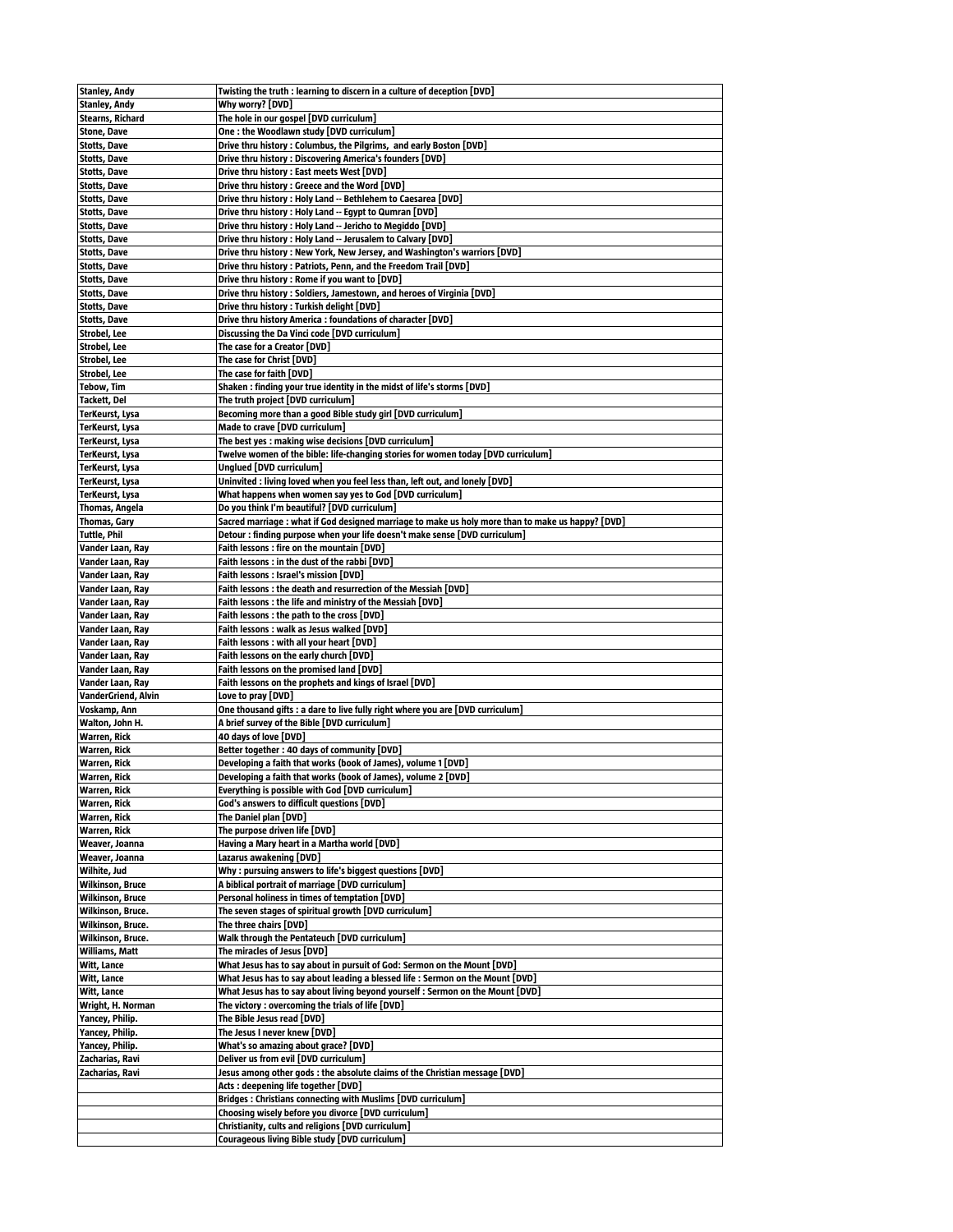| <b>Stanley, Andy</b>       | Twisting the truth : learning to discern in a culture of deception [DVD]                             |
|----------------------------|------------------------------------------------------------------------------------------------------|
| <b>Stanley, Andy</b>       | Why worry? [DVD]                                                                                     |
| <b>Stearns, Richard</b>    | The hole in our gospel [DVD curriculum]                                                              |
|                            | One: the Woodlawn study [DVD curriculum]                                                             |
| <b>Stone, Dave</b>         |                                                                                                      |
| <b>Stotts, Dave</b>        | Drive thru history : Columbus, the Pilgrims, and early Boston [DVD]                                  |
| <b>Stotts, Dave</b>        | Drive thru history: Discovering America's founders [DVD]                                             |
| <b>Stotts, Dave</b>        | Drive thru history: East meets West [DVD]                                                            |
| Stotts, Dave               | Drive thru history: Greece and the Word [DVD]                                                        |
| <b>Stotts, Dave</b>        | Drive thru history : Holy Land -- Bethlehem to Caesarea [DVD]                                        |
| <b>Stotts, Dave</b>        | Drive thru history : Holy Land -- Egypt to Qumran [DVD]                                              |
| <b>Stotts, Dave</b>        | Drive thru history : Holy Land -- Jericho to Megiddo [DVD]                                           |
| <b>Stotts, Dave</b>        | Drive thru history: Holy Land -- Jerusalem to Calvary [DVD]                                          |
| <b>Stotts, Dave</b>        | Drive thru history : New York, New Jersey, and Washington's warriors [DVD]                           |
| <b>Stotts, Dave</b>        | Drive thru history : Patriots, Penn, and the Freedom Trail [DVD]                                     |
| <b>Stotts, Dave</b>        | Drive thru history: Rome if you want to [DVD]                                                        |
| <b>Stotts, Dave</b>        | Drive thru history: Soldiers, Jamestown, and heroes of Virginia [DVD]                                |
| Stotts, Dave               | Drive thru history: Turkish delight [DVD]                                                            |
| <b>Stotts, Dave</b>        | Drive thru history America : foundations of character [DVD]                                          |
|                            |                                                                                                      |
| Strobel, Lee               | Discussing the Da Vinci code [DVD curriculum]                                                        |
| Strobel, Lee               | The case for a Creator [DVD]                                                                         |
| Strobel, Lee               | The case for Christ [DVD]                                                                            |
| Strobel, Lee               | The case for faith [DVD]                                                                             |
| <b>Tebow, Tim</b>          | Shaken: finding your true identity in the midst of life's storms [DVD]                               |
| Tackett, Del               | The truth project [DVD curriculum]                                                                   |
| TerKeurst, Lysa            | Becoming more than a good Bible study girl [DVD curriculum]                                          |
| TerKeurst, Lysa            | Made to crave [DVD curriculum]                                                                       |
| TerKeurst, Lysa            | The best yes : making wise decisions [DVD curriculum]                                                |
| TerKeurst, Lysa            | Twelve women of the bible: life-changing stories for women today [DVD curriculum]                    |
| TerKeurst, Lysa            | Unglued [DVD curriculum]                                                                             |
| TerKeurst, Lysa            | Uninvited : living loved when you feel less than, left out, and lonely [DVD]                         |
| <b>TerKeurst, Lysa</b>     | What happens when women say yes to God [DVD curriculum]                                              |
|                            |                                                                                                      |
| Thomas, Angela             | Do you think I'm beautiful? [DVD curriculum]                                                         |
| Thomas, Gary               | Sacred marriage : what if God designed marriage to make us holy more than to make us happy? [DVD]    |
| Tuttle, Phil               | Detour: finding purpose when your life doesn't make sense [DVD curriculum]                           |
| Vander Laan, Ray           | Faith lessons : fire on the mountain [DVD]                                                           |
| Vander Laan, Ray           | Faith lessons: in the dust of the rabbi [DVD]                                                        |
| Vander Laan, Ray           | Faith lessons: Israel's mission [DVD]                                                                |
| Vander Laan, Ray           | Faith lessons : the death and resurrection of the Messiah [DVD]                                      |
| Vander Laan, Ray           | Faith lessons: the life and ministry of the Messiah [DVD]                                            |
| Vander Laan, Ray           | Faith lessons : the path to the cross [DVD]                                                          |
| Vander Laan, Ray           | Faith lessons: walk as Jesus walked [DVD]                                                            |
| Vander Laan, Ray           | Faith lessons: with all your heart [DVD]                                                             |
| Vander Laan, Ray           | Faith lessons on the early church [DVD]                                                              |
|                            | Faith lessons on the promised land [DVD]                                                             |
| Vander Laan, Ray           |                                                                                                      |
| Vander Laan, Ray           | Faith lessons on the prophets and kings of Israel [DVD]                                              |
| <b>VanderGriend, Alvin</b> | Love to pray [DVD]                                                                                   |
| Voskamp, Ann               | One thousand gifts : a dare to live fully right where you are [DVD curriculum]                       |
| Walton, John H.            | A brief survey of the Bible [DVD curriculum]                                                         |
| Warren, Rick               | 40 days of love [DVD]                                                                                |
| <b>Warren, Rick</b>        | Better together: 40 days of community [DVD]                                                          |
| Warren, Rick               | Developing a faith that works (book of James), volume 1 [DVD]                                        |
| <b>Warren, Rick</b>        | Developing a faith that works (book of James), volume 2 [DVD]                                        |
| <b>Warren, Rick</b>        | Everything is possible with God [DVD curriculum]                                                     |
| <b>Warren, Rick</b>        | God's answers to difficult questions [DVD]                                                           |
| <b>Warren, Rick</b>        | The Daniel plan [DVD]                                                                                |
| Warren, Rick               | The purpose driven life [DVD]                                                                        |
| Weaver, Joanna             | Having a Mary heart in a Martha world [DVD]                                                          |
|                            | Lazarus awakening [DVD]                                                                              |
| Weaver, Joanna             |                                                                                                      |
| Wilhite, Jud               | Why: pursuing answers to life's biggest questions [DVD]                                              |
| <b>Wilkinson, Bruce</b>    | A biblical portrait of marriage [DVD curriculum]                                                     |
| <b>Wilkinson, Bruce</b>    | Personal holiness in times of temptation [DVD]                                                       |
| Wilkinson, Bruce.          | The seven stages of spiritual growth [DVD curriculum]                                                |
| Wilkinson, Bruce.          | The three chairs [DVD]                                                                               |
| Wilkinson, Bruce.          | Walk through the Pentateuch [DVD curriculum]                                                         |
| Williams, Matt             | The miracles of Jesus [DVD]                                                                          |
| Witt, Lance                | What Jesus has to say about in pursuit of God: Sermon on the Mount [DVD]                             |
| Witt, Lance                | What Jesus has to say about leading a blessed life : Sermon on the Mount [DVD]                       |
| Witt, Lance                | What Jesus has to say about living beyond yourself : Sermon on the Mount [DVD]                       |
| Wright, H. Norman          | The victory : overcoming the trials of life [DVD]                                                    |
| Yancey, Philip.            | The Bible Jesus read [DVD]                                                                           |
| Yancey, Philip.            | The Jesus I never knew [DVD]                                                                         |
|                            |                                                                                                      |
| Yancey, Philip.            | What's so amazing about grace? [DVD]                                                                 |
| Zacharias, Ravi            | Deliver us from evil [DVD curriculum]                                                                |
| Zacharias, Ravi            | Jesus among other gods : the absolute claims of the Christian message [DVD]                          |
|                            | Acts : deepening life together [DVD]                                                                 |
|                            |                                                                                                      |
|                            | Bridges: Christians connecting with Muslims [DVD curriculum]                                         |
|                            | Choosing wisely before you divorce [DVD curriculum]                                                  |
|                            | Christianity, cults and religions [DVD curriculum]<br>Courageous living Bible study [DVD curriculum] |